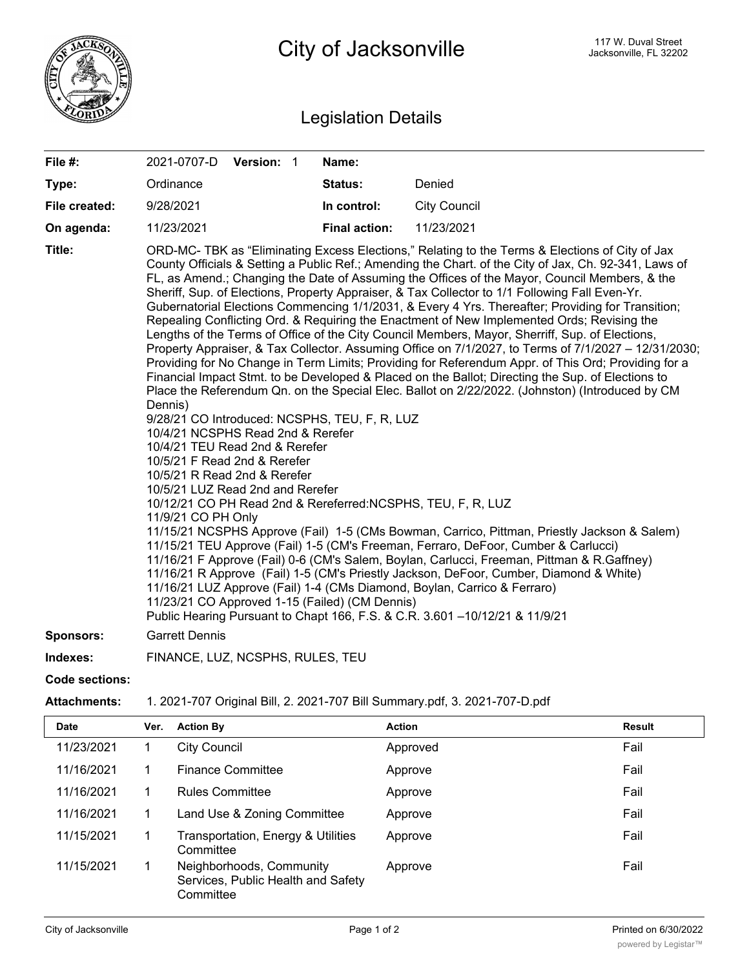

## Legislation Details

| File #:          | 2021-0707-D Version: 1                                                                                                                                                                                   |  | Name:                                                                                           |                                                                                                                                                                                                                                                                                                                                                                                                                                                                                                                                                                                                                                                                                                                                                                                                                                                                                                                                                                                                                                                                                                                                                                                                                                                                                                                                                                                                                                                                                                                                                                                                                                                                                                                                                 |
|------------------|----------------------------------------------------------------------------------------------------------------------------------------------------------------------------------------------------------|--|-------------------------------------------------------------------------------------------------|-------------------------------------------------------------------------------------------------------------------------------------------------------------------------------------------------------------------------------------------------------------------------------------------------------------------------------------------------------------------------------------------------------------------------------------------------------------------------------------------------------------------------------------------------------------------------------------------------------------------------------------------------------------------------------------------------------------------------------------------------------------------------------------------------------------------------------------------------------------------------------------------------------------------------------------------------------------------------------------------------------------------------------------------------------------------------------------------------------------------------------------------------------------------------------------------------------------------------------------------------------------------------------------------------------------------------------------------------------------------------------------------------------------------------------------------------------------------------------------------------------------------------------------------------------------------------------------------------------------------------------------------------------------------------------------------------------------------------------------------------|
| Type:            | Ordinance                                                                                                                                                                                                |  | Status:                                                                                         | Denied                                                                                                                                                                                                                                                                                                                                                                                                                                                                                                                                                                                                                                                                                                                                                                                                                                                                                                                                                                                                                                                                                                                                                                                                                                                                                                                                                                                                                                                                                                                                                                                                                                                                                                                                          |
| File created:    | 9/28/2021                                                                                                                                                                                                |  | In control:                                                                                     | <b>City Council</b>                                                                                                                                                                                                                                                                                                                                                                                                                                                                                                                                                                                                                                                                                                                                                                                                                                                                                                                                                                                                                                                                                                                                                                                                                                                                                                                                                                                                                                                                                                                                                                                                                                                                                                                             |
| On agenda:       | 11/23/2021                                                                                                                                                                                               |  | <b>Final action:</b>                                                                            | 11/23/2021                                                                                                                                                                                                                                                                                                                                                                                                                                                                                                                                                                                                                                                                                                                                                                                                                                                                                                                                                                                                                                                                                                                                                                                                                                                                                                                                                                                                                                                                                                                                                                                                                                                                                                                                      |
| Title:           | Dennis)<br>10/4/21 NCSPHS Read 2nd & Rerefer<br>10/4/21 TEU Read 2nd & Rerefer<br>10/5/21 F Read 2nd & Rerefer<br>10/5/21 R Read 2nd & Rerefer<br>10/5/21 LUZ Read 2nd and Rerefer<br>11/9/21 CO PH Only |  | 9/28/21 CO Introduced: NCSPHS, TEU, F, R, LUZ<br>11/23/21 CO Approved 1-15 (Failed) (CM Dennis) | ORD-MC- TBK as "Eliminating Excess Elections," Relating to the Terms & Elections of City of Jax<br>County Officials & Setting a Public Ref.; Amending the Chart. of the City of Jax, Ch. 92-341, Laws of<br>FL, as Amend.; Changing the Date of Assuming the Offices of the Mayor, Council Members, & the<br>Sheriff, Sup. of Elections, Property Appraiser, & Tax Collector to 1/1 Following Fall Even-Yr.<br>Gubernatorial Elections Commencing 1/1/2031, & Every 4 Yrs. Thereafter; Providing for Transition;<br>Repealing Conflicting Ord. & Requiring the Enactment of New Implemented Ords; Revising the<br>Lengths of the Terms of Office of the City Council Members, Mayor, Sherriff, Sup. of Elections,<br>Property Appraiser, & Tax Collector. Assuming Office on 7/1/2027, to Terms of 7/1/2027 - 12/31/2030;<br>Providing for No Change in Term Limits; Providing for Referendum Appr. of This Ord; Providing for a<br>Financial Impact Stmt. to be Developed & Placed on the Ballot; Directing the Sup. of Elections to<br>Place the Referendum Qn. on the Special Elec. Ballot on 2/22/2022. (Johnston) (Introduced by CM<br>10/12/21 CO PH Read 2nd & Rereferred:NCSPHS, TEU, F, R, LUZ<br>11/15/21 NCSPHS Approve (Fail) 1-5 (CMs Bowman, Carrico, Pittman, Priestly Jackson & Salem)<br>11/15/21 TEU Approve (Fail) 1-5 (CM's Freeman, Ferraro, DeFoor, Cumber & Carlucci)<br>11/16/21 F Approve (Fail) 0-6 (CM's Salem, Boylan, Carlucci, Freeman, Pittman & R.Gaffney)<br>11/16/21 R Approve (Fail) 1-5 (CM's Priestly Jackson, DeFoor, Cumber, Diamond & White)<br>11/16/21 LUZ Approve (Fail) 1-4 (CMs Diamond, Boylan, Carrico & Ferraro)<br>Public Hearing Pursuant to Chapt 166, F.S. & C.R. 3.601 -10/12/21 & 11/9/21 |
| <b>Sponsors:</b> | <b>Garrett Dennis</b>                                                                                                                                                                                    |  |                                                                                                 |                                                                                                                                                                                                                                                                                                                                                                                                                                                                                                                                                                                                                                                                                                                                                                                                                                                                                                                                                                                                                                                                                                                                                                                                                                                                                                                                                                                                                                                                                                                                                                                                                                                                                                                                                 |
| Indexes:         | FINANCE, LUZ, NCSPHS, RULES, TEU                                                                                                                                                                         |  |                                                                                                 |                                                                                                                                                                                                                                                                                                                                                                                                                                                                                                                                                                                                                                                                                                                                                                                                                                                                                                                                                                                                                                                                                                                                                                                                                                                                                                                                                                                                                                                                                                                                                                                                                                                                                                                                                 |

**Code sections:**

## **Attachments:** 1. 2021-707 Original Bill, 2. 2021-707 Bill Summary.pdf, 3. 2021-707-D.pdf

| <b>Date</b> | Ver. | <b>Action By</b>                                                            | <b>Action</b> | <b>Result</b> |
|-------------|------|-----------------------------------------------------------------------------|---------------|---------------|
| 11/23/2021  |      | <b>City Council</b>                                                         | Approved      | Fail          |
| 11/16/2021  |      | <b>Finance Committee</b>                                                    | Approve       | Fail          |
| 11/16/2021  |      | <b>Rules Committee</b>                                                      | Approve       | Fail          |
| 11/16/2021  |      | Land Use & Zoning Committee                                                 | Approve       | Fail          |
| 11/15/2021  |      | Transportation, Energy & Utilities<br>Committee                             | Approve       | Fail          |
| 11/15/2021  |      | Neighborhoods, Community<br>Services, Public Health and Safety<br>Committee | Approve       | Fail          |